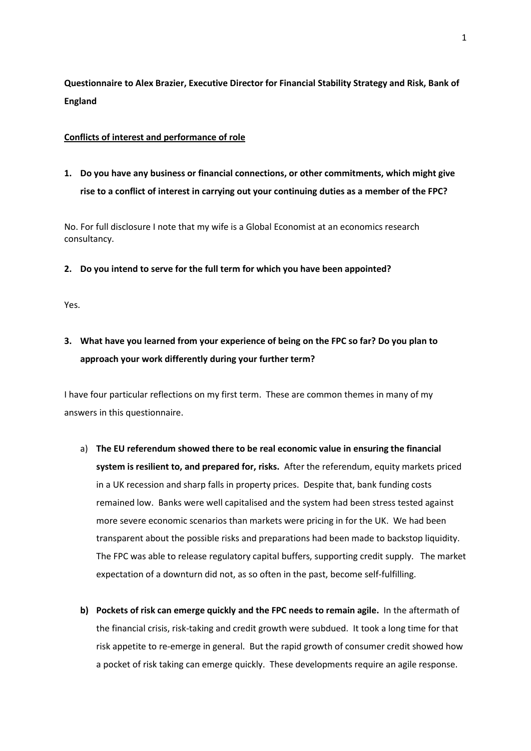**Questionnaire to Alex Brazier, Executive Director for Financial Stability Strategy and Risk, Bank of England** 

### **Conflicts of interest and performance of role**

**1. Do you have any business or financial connections, or other commitments, which might give rise to a conflict of interest in carrying out your continuing duties as a member of the FPC?** 

No. For full disclosure I note that my wife is a Global Economist at an economics research consultancy.

### **2. Do you intend to serve for the full term for which you have been appointed?**

Yes.

# **3. What have you learned from your experience of being on the FPC so far? Do you plan to approach your work differently during your further term?**

I have four particular reflections on my first term. These are common themes in many of my answers in this questionnaire.

- a) **The EU referendum showed there to be real economic value in ensuring the financial system is resilient to, and prepared for, risks.** After the referendum, equity markets priced in a UK recession and sharp falls in property prices. Despite that, bank funding costs remained low. Banks were well capitalised and the system had been stress tested against more severe economic scenarios than markets were pricing in for the UK. We had been transparent about the possible risks and preparations had been made to backstop liquidity. The FPC was able to release regulatory capital buffers, supporting credit supply. The market expectation of a downturn did not, as so often in the past, become self-fulfilling.
- **b) Pockets of risk can emerge quickly and the FPC needs to remain agile.** In the aftermath of the financial crisis, risk-taking and credit growth were subdued. It took a long time for that risk appetite to re-emerge in general. But the rapid growth of consumer credit showed how a pocket of risk taking can emerge quickly. These developments require an agile response.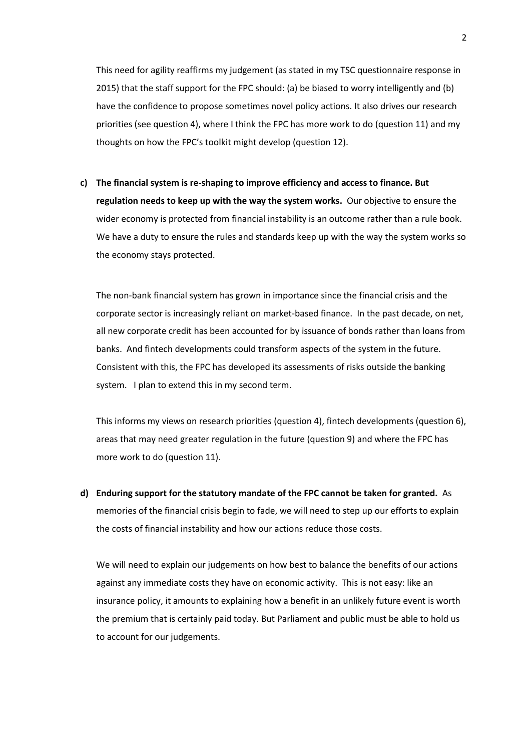This need for agility reaffirms my judgement (as stated in my TSC questionnaire response in 2015) that the staff support for the FPC should: (a) be biased to worry intelligently and (b) have the confidence to propose sometimes novel policy actions. It also drives our research priorities (see question 4), where I think the FPC has more work to do (question 11) and my thoughts on how the FPC's toolkit might develop (question 12).

**c) The financial system is re-shaping to improve efficiency and access to finance. But regulation needs to keep up with the way the system works.** Our objective to ensure the wider economy is protected from financial instability is an outcome rather than a rule book. We have a duty to ensure the rules and standards keep up with the way the system works so the economy stays protected.

The non-bank financial system has grown in importance since the financial crisis and the corporate sector is increasingly reliant on market-based finance. In the past decade, on net, all new corporate credit has been accounted for by issuance of bonds rather than loans from banks. And fintech developments could transform aspects of the system in the future. Consistent with this, the FPC has developed its assessments of risks outside the banking system. I plan to extend this in my second term.

This informs my views on research priorities (question 4), fintech developments (question 6), areas that may need greater regulation in the future (question 9) and where the FPC has more work to do (question 11).

**d) Enduring support for the statutory mandate of the FPC cannot be taken for granted.** As memories of the financial crisis begin to fade, we will need to step up our efforts to explain the costs of financial instability and how our actions reduce those costs.

We will need to explain our judgements on how best to balance the benefits of our actions against any immediate costs they have on economic activity. This is not easy: like an insurance policy, it amounts to explaining how a benefit in an unlikely future event is worth the premium that is certainly paid today. But Parliament and public must be able to hold us to account for our judgements.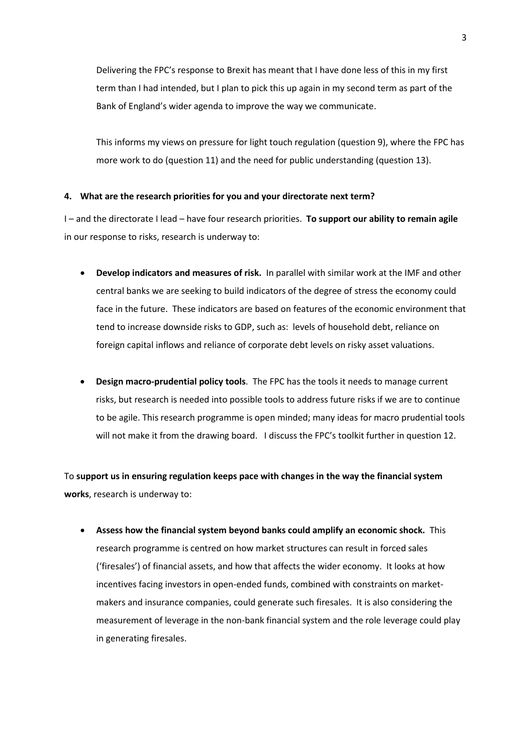Delivering the FPC's response to Brexit has meant that I have done less of this in my first term than I had intended, but I plan to pick this up again in my second term as part of the Bank of England's wider agenda to improve the way we communicate.

This informs my views on pressure for light touch regulation (question 9), where the FPC has more work to do (question 11) and the need for public understanding (question 13).

#### **4. What are the research priorities for you and your directorate next term?**

I – and the directorate I lead – have four research priorities. **To support our ability to remain agile** in our response to risks, research is underway to:

- **Develop indicators and measures of risk.** In parallel with similar work at the IMF and other central banks we are seeking to build indicators of the degree of stress the economy could face in the future. These indicators are based on features of the economic environment that tend to increase downside risks to GDP, such as: levels of household debt, reliance on foreign capital inflows and reliance of corporate debt levels on risky asset valuations.
- **Design macro-prudential policy tools**. The FPC has the tools it needs to manage current risks, but research is needed into possible tools to address future risks if we are to continue to be agile. This research programme is open minded; many ideas for macro prudential tools will not make it from the drawing board. I discuss the FPC's toolkit further in question 12.

To **support us in ensuring regulation keeps pace with changes in the way the financial system works**, research is underway to:

 **Assess how the financial system beyond banks could amplify an economic shock.** This research programme is centred on how market structures can result in forced sales ('firesales') of financial assets, and how that affects the wider economy. It looks at how incentives facing investors in open-ended funds, combined with constraints on marketmakers and insurance companies, could generate such firesales. It is also considering the measurement of leverage in the non-bank financial system and the role leverage could play in generating firesales.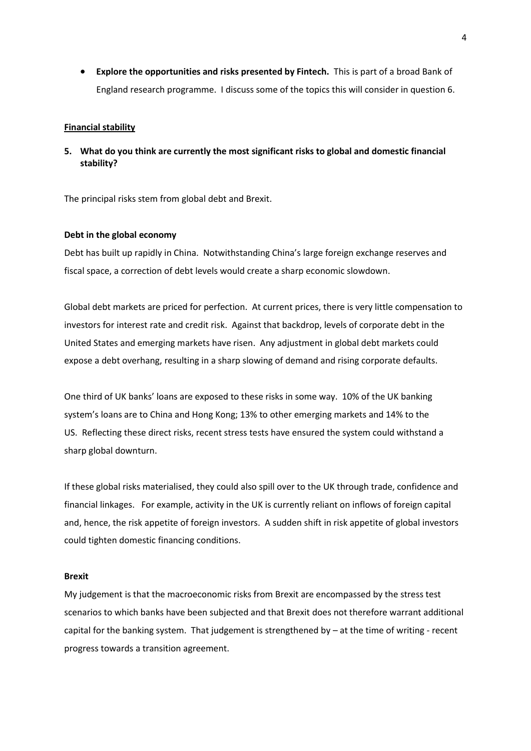**Explore the opportunities and risks presented by Fintech.** This is part of a broad Bank of England research programme. I discuss some of the topics this will consider in question 6.

#### **Financial stability**

**5. What do you think are currently the most significant risks to global and domestic financial stability?** 

The principal risks stem from global debt and Brexit.

#### **Debt in the global economy**

Debt has built up rapidly in China. Notwithstanding China's large foreign exchange reserves and fiscal space, a correction of debt levels would create a sharp economic slowdown.

Global debt markets are priced for perfection. At current prices, there is very little compensation to investors for interest rate and credit risk. Against that backdrop, levels of corporate debt in the United States and emerging markets have risen. Any adjustment in global debt markets could expose a debt overhang, resulting in a sharp slowing of demand and rising corporate defaults.

One third of UK banks' loans are exposed to these risks in some way. 10% of the UK banking system's loans are to China and Hong Kong; 13% to other emerging markets and 14% to the US. Reflecting these direct risks, recent stress tests have ensured the system could withstand a sharp global downturn.

If these global risks materialised, they could also spill over to the UK through trade, confidence and financial linkages. For example, activity in the UK is currently reliant on inflows of foreign capital and, hence, the risk appetite of foreign investors. A sudden shift in risk appetite of global investors could tighten domestic financing conditions.

#### **Brexit**

My judgement is that the macroeconomic risks from Brexit are encompassed by the stress test scenarios to which banks have been subjected and that Brexit does not therefore warrant additional capital for the banking system. That judgement is strengthened by  $-$  at the time of writing - recent progress towards a transition agreement.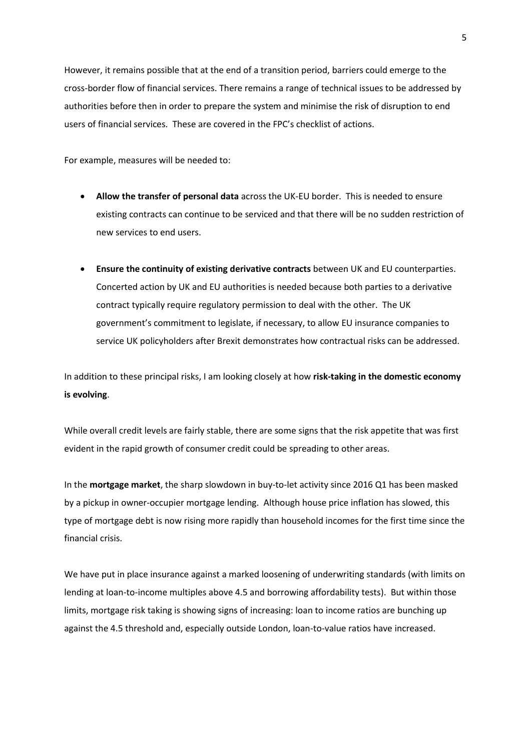However, it remains possible that at the end of a transition period, barriers could emerge to the cross-border flow of financial services. There remains a range of technical issues to be addressed by authorities before then in order to prepare the system and minimise the risk of disruption to end users of financial services. These are covered in the FPC's checklist of actions.

For example, measures will be needed to:

- **Allow the transfer of personal data** across the UK-EU border. This is needed to ensure existing contracts can continue to be serviced and that there will be no sudden restriction of new services to end users.
- **Ensure the continuity of existing derivative contracts** between UK and EU counterparties. Concerted action by UK and EU authorities is needed because both parties to a derivative contract typically require regulatory permission to deal with the other. The UK government's commitment to legislate, if necessary, to allow EU insurance companies to service UK policyholders after Brexit demonstrates how contractual risks can be addressed.

In addition to these principal risks, I am looking closely at how **risk-taking in the domestic economy is evolving**.

While overall credit levels are fairly stable, there are some signs that the risk appetite that was first evident in the rapid growth of consumer credit could be spreading to other areas.

In the **mortgage market**, the sharp slowdown in buy-to-let activity since 2016 Q1 has been masked by a pickup in owner-occupier mortgage lending. Although house price inflation has slowed, this type of mortgage debt is now rising more rapidly than household incomes for the first time since the financial crisis.

We have put in place insurance against a marked loosening of underwriting standards (with limits on lending at loan-to-income multiples above 4.5 and borrowing affordability tests). But within those limits, mortgage risk taking is showing signs of increasing: loan to income ratios are bunching up against the 4.5 threshold and, especially outside London, loan-to-value ratios have increased.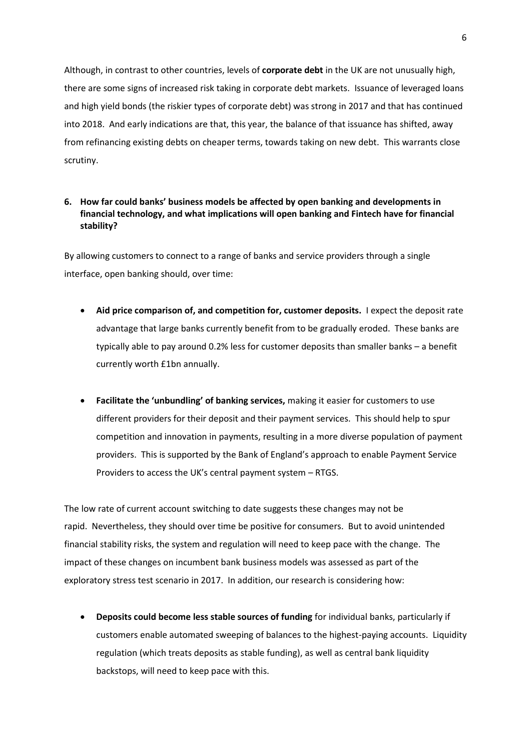Although, in contrast to other countries, levels of **corporate debt** in the UK are not unusually high, there are some signs of increased risk taking in corporate debt markets. Issuance of leveraged loans and high yield bonds (the riskier types of corporate debt) was strong in 2017 and that has continued into 2018. And early indications are that, this year, the balance of that issuance has shifted, away from refinancing existing debts on cheaper terms, towards taking on new debt. This warrants close scrutiny.

## **6. How far could banks' business models be affected by open banking and developments in financial technology, and what implications will open banking and Fintech have for financial stability?**

By allowing customers to connect to a range of banks and service providers through a single interface, open banking should, over time:

- **Aid price comparison of, and competition for, customer deposits.** I expect the deposit rate advantage that large banks currently benefit from to be gradually eroded. These banks are typically able to pay around 0.2% less for customer deposits than smaller banks – a benefit currently worth £1bn annually.
- **Facilitate the 'unbundling' of banking services,** making it easier for customers to use different providers for their deposit and their payment services. This should help to spur competition and innovation in payments, resulting in a more diverse population of payment providers. This is supported by the Bank of England's approach to enable Payment Service Providers to access the UK's central payment system – RTGS.

The low rate of current account switching to date suggests these changes may not be rapid. Nevertheless, they should over time be positive for consumers. But to avoid unintended financial stability risks, the system and regulation will need to keep pace with the change. The impact of these changes on incumbent bank business models was assessed as part of the exploratory stress test scenario in 2017. In addition, our research is considering how:

 **Deposits could become less stable sources of funding** for individual banks, particularly if customers enable automated sweeping of balances to the highest-paying accounts. Liquidity regulation (which treats deposits as stable funding), as well as central bank liquidity backstops, will need to keep pace with this.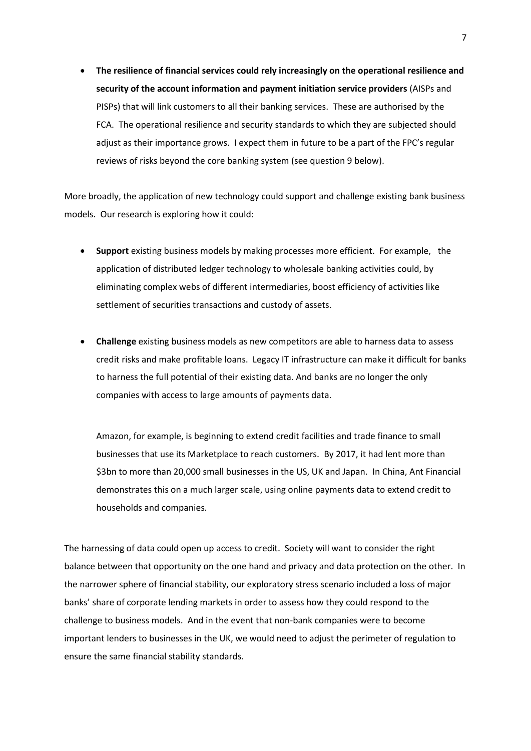**The resilience of financial services could rely increasingly on the operational resilience and security of the account information and payment initiation service providers** (AISPs and PISPs) that will link customers to all their banking services. These are authorised by the FCA. The operational resilience and security standards to which they are subjected should adjust as their importance grows. I expect them in future to be a part of the FPC's regular reviews of risks beyond the core banking system (see question 9 below).

More broadly, the application of new technology could support and challenge existing bank business models. Our research is exploring how it could:

- **Support** existing business models by making processes more efficient. For example, the application of distributed ledger technology to wholesale banking activities could, by eliminating complex webs of different intermediaries, boost efficiency of activities like settlement of securities transactions and custody of assets.
- **Challenge** existing business models as new competitors are able to harness data to assess credit risks and make profitable loans. Legacy IT infrastructure can make it difficult for banks to harness the full potential of their existing data. And banks are no longer the only companies with access to large amounts of payments data.

Amazon, for example, is beginning to extend credit facilities and trade finance to small businesses that use its Marketplace to reach customers. By 2017, it had lent more than \$3bn to more than 20,000 small businesses in the US, UK and Japan. In China, Ant Financial demonstrates this on a much larger scale, using online payments data to extend credit to households and companies.

The harnessing of data could open up access to credit. Society will want to consider the right balance between that opportunity on the one hand and privacy and data protection on the other. In the narrower sphere of financial stability, our exploratory stress scenario included a loss of major banks' share of corporate lending markets in order to assess how they could respond to the challenge to business models. And in the event that non-bank companies were to become important lenders to businesses in the UK, we would need to adjust the perimeter of regulation to ensure the same financial stability standards.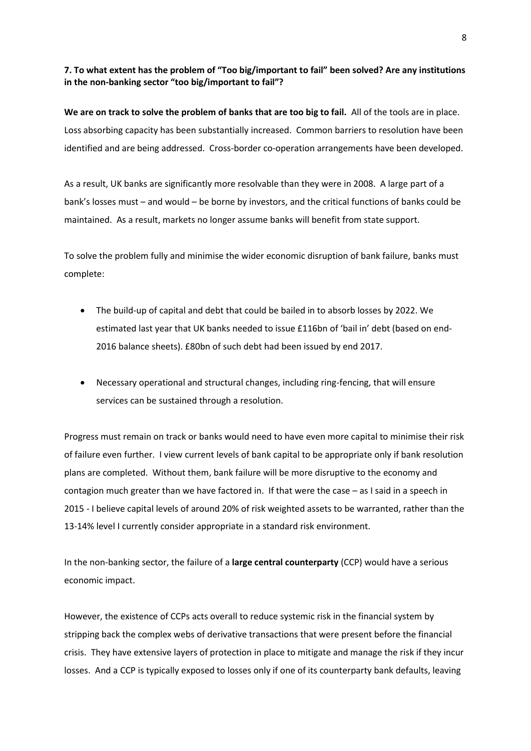## **7. To what extent has the problem of "Too big/important to fail" been solved? Are any institutions in the non-banking sector "too big/important to fail"?**

**We are on track to solve the problem of banks that are too big to fail.** All of the tools are in place. Loss absorbing capacity has been substantially increased. Common barriers to resolution have been identified and are being addressed. Cross-border co-operation arrangements have been developed.

As a result, UK banks are significantly more resolvable than they were in 2008. A large part of a bank's losses must – and would – be borne by investors, and the critical functions of banks could be maintained. As a result, markets no longer assume banks will benefit from state support.

To solve the problem fully and minimise the wider economic disruption of bank failure, banks must complete:

- The build-up of capital and debt that could be bailed in to absorb losses by 2022. We estimated last year that UK banks needed to issue £116bn of 'bail in' debt (based on end-2016 balance sheets). £80bn of such debt had been issued by end 2017.
- Necessary operational and structural changes, including ring-fencing, that will ensure services can be sustained through a resolution.

Progress must remain on track or banks would need to have even more capital to minimise their risk of failure even further. I view current levels of bank capital to be appropriate only if bank resolution plans are completed. Without them, bank failure will be more disruptive to the economy and contagion much greater than we have factored in. If that were the case – as I said in a speech in 2015 - I believe capital levels of around 20% of risk weighted assets to be warranted, rather than the 13-14% level I currently consider appropriate in a standard risk environment.

In the non-banking sector, the failure of a **large central counterparty** (CCP) would have a serious economic impact.

However, the existence of CCPs acts overall to reduce systemic risk in the financial system by stripping back the complex webs of derivative transactions that were present before the financial crisis. They have extensive layers of protection in place to mitigate and manage the risk if they incur losses. And a CCP is typically exposed to losses only if one of its counterparty bank defaults, leaving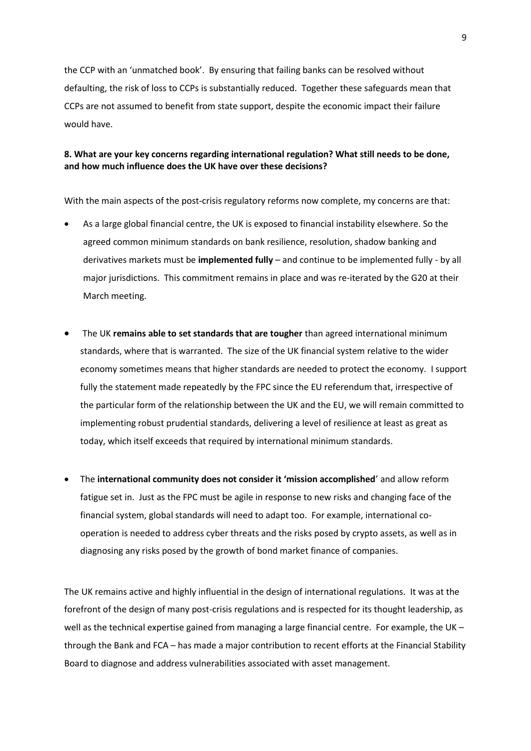the CCP with an 'unmatched book'. By ensuring that failing banks can be resolved without defaulting, the risk of loss to CCPs is substantially reduced. Together these safeguards mean that CCPs are not assumed to benefit from state support, despite the economic impact their failure would have.

## **8. What are your key concerns regarding international regulation? What still needs to be done, and how much influence does the UK have over these decisions?**

With the main aspects of the post-crisis regulatory reforms now complete, my concerns are that:

- As a large global financial centre, the UK is exposed to financial instability elsewhere. So the agreed common minimum standards on bank resilience, resolution, shadow banking and derivatives markets must be **implemented fully** – and continue to be implemented fully - by all major jurisdictions. This commitment remains in place and was re-iterated by the G20 at their March meeting.
- The UK **remains able to set standards that are tougher** than agreed international minimum standards, where that is warranted. The size of the UK financial system relative to the wider economy sometimes means that higher standards are needed to protect the economy. I support fully the statement made repeatedly by the FPC since the EU referendum that, irrespective of the particular form of the relationship between the UK and the EU, we will remain committed to implementing robust prudential standards, delivering a level of resilience at least as great as today, which itself exceeds that required by international minimum standards.
- The **international community does not consider it 'mission accomplished**' and allow reform fatigue set in. Just as the FPC must be agile in response to new risks and changing face of the financial system, global standards will need to adapt too. For example, international cooperation is needed to address cyber threats and the risks posed by crypto assets, as well as in diagnosing any risks posed by the growth of bond market finance of companies.

The UK remains active and highly influential in the design of international regulations. It was at the forefront of the design of many post-crisis regulations and is respected for its thought leadership, as well as the technical expertise gained from managing a large financial centre. For example, the UK – through the Bank and FCA – has made a major contribution to recent efforts at the Financial Stability Board to diagnose and address vulnerabilities associated with asset management.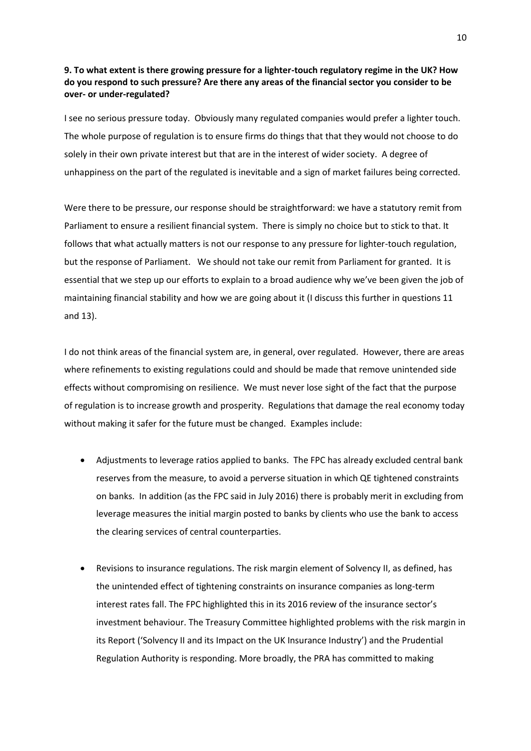## **9. To what extent is there growing pressure for a lighter-touch regulatory regime in the UK? How do you respond to such pressure? Are there any areas of the financial sector you consider to be over- or under-regulated?**

I see no serious pressure today. Obviously many regulated companies would prefer a lighter touch. The whole purpose of regulation is to ensure firms do things that that they would not choose to do solely in their own private interest but that are in the interest of wider society. A degree of unhappiness on the part of the regulated is inevitable and a sign of market failures being corrected.

Were there to be pressure, our response should be straightforward: we have a statutory remit from Parliament to ensure a resilient financial system. There is simply no choice but to stick to that. It follows that what actually matters is not our response to any pressure for lighter-touch regulation, but the response of Parliament. We should not take our remit from Parliament for granted. It is essential that we step up our efforts to explain to a broad audience why we've been given the job of maintaining financial stability and how we are going about it (I discuss this further in questions 11 and 13).

I do not think areas of the financial system are, in general, over regulated. However, there are areas where refinements to existing regulations could and should be made that remove unintended side effects without compromising on resilience. We must never lose sight of the fact that the purpose of regulation is to increase growth and prosperity. Regulations that damage the real economy today without making it safer for the future must be changed. Examples include:

- Adjustments to leverage ratios applied to banks. The FPC has already excluded central bank reserves from the measure, to avoid a perverse situation in which QE tightened constraints on banks. In addition (as the FPC said in July 2016) there is probably merit in excluding from leverage measures the initial margin posted to banks by clients who use the bank to access the clearing services of central counterparties.
- Revisions to insurance regulations. The risk margin element of Solvency II, as defined, has the unintended effect of tightening constraints on insurance companies as long-term interest rates fall. The FPC highlighted this in its 2016 review of the insurance sector's investment behaviour. The Treasury Committee highlighted problems with the risk margin in its Report ('Solvency II and its Impact on the UK Insurance Industry') and the Prudential Regulation Authority is responding. More broadly, the PRA has committed to making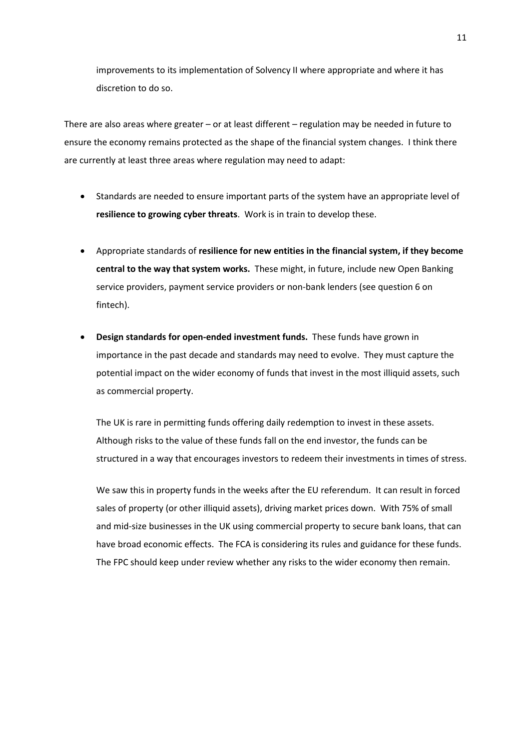improvements to its implementation of Solvency II where appropriate and where it has discretion to do so.

There are also areas where greater – or at least different – regulation may be needed in future to ensure the economy remains protected as the shape of the financial system changes. I think there are currently at least three areas where regulation may need to adapt:

- Standards are needed to ensure important parts of the system have an appropriate level of **resilience to growing cyber threats**. Work is in train to develop these.
- Appropriate standards of **resilience for new entities in the financial system, if they become central to the way that system works.** These might, in future, include new Open Banking service providers, payment service providers or non-bank lenders (see question 6 on fintech).
- **Design standards for open-ended investment funds.** These funds have grown in importance in the past decade and standards may need to evolve. They must capture the potential impact on the wider economy of funds that invest in the most illiquid assets, such as commercial property.

The UK is rare in permitting funds offering daily redemption to invest in these assets. Although risks to the value of these funds fall on the end investor, the funds can be structured in a way that encourages investors to redeem their investments in times of stress.

We saw this in property funds in the weeks after the EU referendum. It can result in forced sales of property (or other illiquid assets), driving market prices down. With 75% of small and mid-size businesses in the UK using commercial property to secure bank loans, that can have broad economic effects. The FCA is considering its rules and guidance for these funds. The FPC should keep under review whether any risks to the wider economy then remain.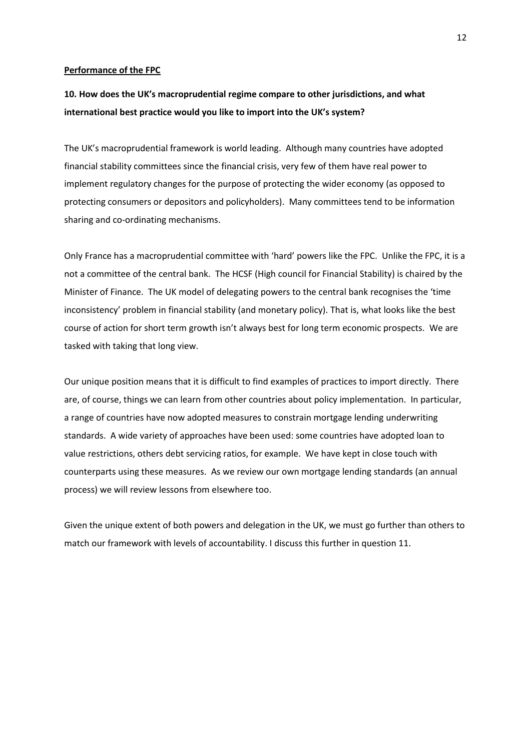#### **Performance of the FPC**

## **10. How does the UK's macroprudential regime compare to other jurisdictions, and what international best practice would you like to import into the UK's system?**

The UK's macroprudential framework is world leading. Although many countries have adopted financial stability committees since the financial crisis, very few of them have real power to implement regulatory changes for the purpose of protecting the wider economy (as opposed to protecting consumers or depositors and policyholders). Many committees tend to be information sharing and co-ordinating mechanisms.

Only France has a macroprudential committee with 'hard' powers like the FPC. Unlike the FPC, it is a not a committee of the central bank. The HCSF (High council for Financial Stability) is chaired by the Minister of Finance. The UK model of delegating powers to the central bank recognises the 'time inconsistency' problem in financial stability (and monetary policy). That is, what looks like the best course of action for short term growth isn't always best for long term economic prospects. We are tasked with taking that long view.

Our unique position means that it is difficult to find examples of practices to import directly. There are, of course, things we can learn from other countries about policy implementation. In particular, a range of countries have now adopted measures to constrain mortgage lending underwriting standards. A wide variety of approaches have been used: some countries have adopted loan to value restrictions, others debt servicing ratios, for example. We have kept in close touch with counterparts using these measures. As we review our own mortgage lending standards (an annual process) we will review lessons from elsewhere too.

Given the unique extent of both powers and delegation in the UK, we must go further than others to match our framework with levels of accountability. I discuss this further in question 11.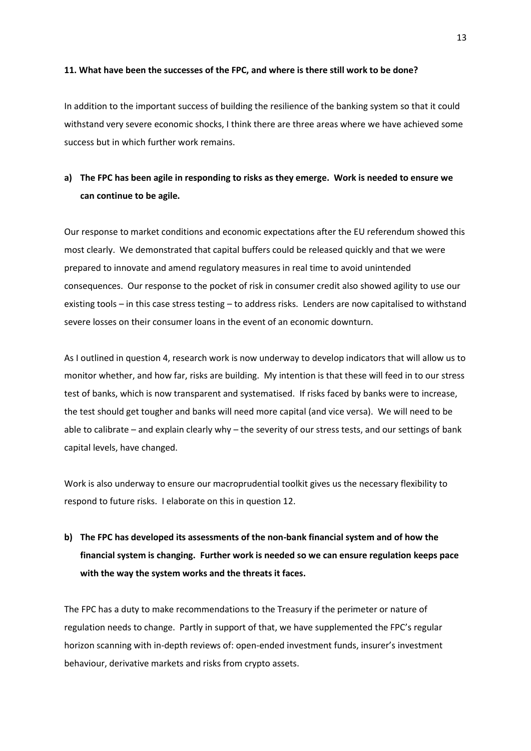#### **11. What have been the successes of the FPC, and where is there still work to be done?**

In addition to the important success of building the resilience of the banking system so that it could withstand very severe economic shocks, I think there are three areas where we have achieved some success but in which further work remains.

## **a) The FPC has been agile in responding to risks as they emerge. Work is needed to ensure we can continue to be agile.**

Our response to market conditions and economic expectations after the EU referendum showed this most clearly. We demonstrated that capital buffers could be released quickly and that we were prepared to innovate and amend regulatory measures in real time to avoid unintended consequences. Our response to the pocket of risk in consumer credit also showed agility to use our existing tools – in this case stress testing – to address risks. Lenders are now capitalised to withstand severe losses on their consumer loans in the event of an economic downturn.

As I outlined in question 4, research work is now underway to develop indicators that will allow us to monitor whether, and how far, risks are building. My intention is that these will feed in to our stress test of banks, which is now transparent and systematised. If risks faced by banks were to increase, the test should get tougher and banks will need more capital (and vice versa). We will need to be able to calibrate – and explain clearly why – the severity of our stress tests, and our settings of bank capital levels, have changed.

Work is also underway to ensure our macroprudential toolkit gives us the necessary flexibility to respond to future risks. I elaborate on this in question 12.

# **b) The FPC has developed its assessments of the non-bank financial system and of how the financial system is changing. Further work is needed so we can ensure regulation keeps pace with the way the system works and the threats it faces.**

The FPC has a duty to make recommendations to the Treasury if the perimeter or nature of regulation needs to change. Partly in support of that, we have supplemented the FPC's regular horizon scanning with in-depth reviews of: open-ended investment funds, insurer's investment behaviour, derivative markets and risks from crypto assets.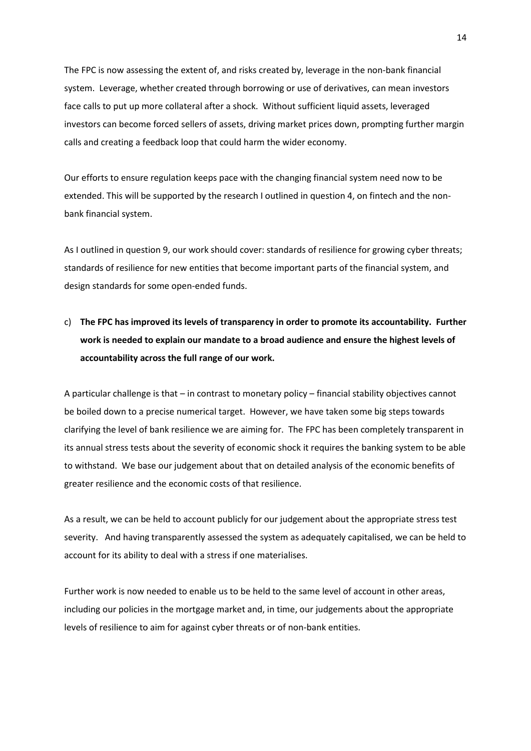The FPC is now assessing the extent of, and risks created by, leverage in the non-bank financial system. Leverage, whether created through borrowing or use of derivatives, can mean investors face calls to put up more collateral after a shock. Without sufficient liquid assets, leveraged investors can become forced sellers of assets, driving market prices down, prompting further margin calls and creating a feedback loop that could harm the wider economy.

Our efforts to ensure regulation keeps pace with the changing financial system need now to be extended. This will be supported by the research I outlined in question 4, on fintech and the nonbank financial system.

As I outlined in question 9, our work should cover: standards of resilience for growing cyber threats; standards of resilience for new entities that become important parts of the financial system, and design standards for some open-ended funds.

# c) **The FPC has improved its levels of transparency in order to promote its accountability. Further work is needed to explain our mandate to a broad audience and ensure the highest levels of accountability across the full range of our work.**

A particular challenge is that – in contrast to monetary policy – financial stability objectives cannot be boiled down to a precise numerical target. However, we have taken some big steps towards clarifying the level of bank resilience we are aiming for. The FPC has been completely transparent in its annual stress tests about the severity of economic shock it requires the banking system to be able to withstand. We base our judgement about that on detailed analysis of the economic benefits of greater resilience and the economic costs of that resilience.

As a result, we can be held to account publicly for our judgement about the appropriate stress test severity. And having transparently assessed the system as adequately capitalised, we can be held to account for its ability to deal with a stress if one materialises.

Further work is now needed to enable us to be held to the same level of account in other areas, including our policies in the mortgage market and, in time, our judgements about the appropriate levels of resilience to aim for against cyber threats or of non-bank entities.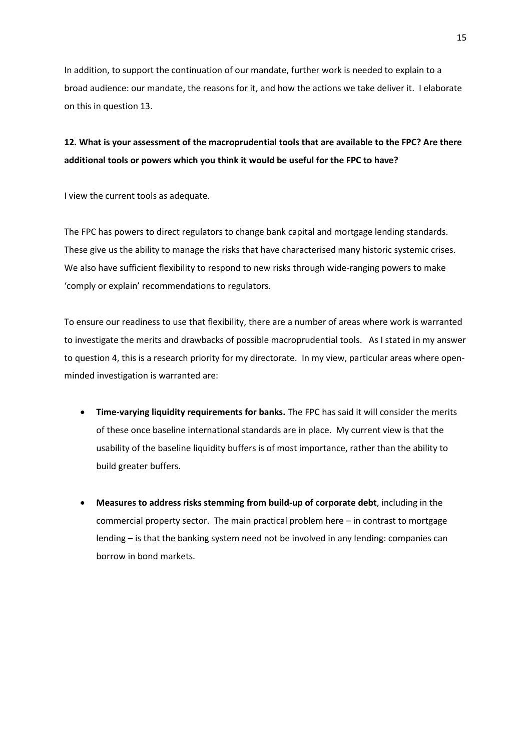In addition, to support the continuation of our mandate, further work is needed to explain to a broad audience: our mandate, the reasons for it, and how the actions we take deliver it. I elaborate on this in question 13.

## **12. What is your assessment of the macroprudential tools that are available to the FPC? Are there additional tools or powers which you think it would be useful for the FPC to have?**

I view the current tools as adequate.

The FPC has powers to direct regulators to change bank capital and mortgage lending standards. These give us the ability to manage the risks that have characterised many historic systemic crises. We also have sufficient flexibility to respond to new risks through wide-ranging powers to make 'comply or explain' recommendations to regulators.

To ensure our readiness to use that flexibility, there are a number of areas where work is warranted to investigate the merits and drawbacks of possible macroprudential tools. As I stated in my answer to question 4, this is a research priority for my directorate. In my view, particular areas where openminded investigation is warranted are:

- **Time-varying liquidity requirements for banks.** The FPC has said it will consider the merits of these once baseline international standards are in place. My current view is that the usability of the baseline liquidity buffers is of most importance, rather than the ability to build greater buffers.
- **Measures to address risks stemming from build-up of corporate debt**, including in the commercial property sector. The main practical problem here – in contrast to mortgage lending – is that the banking system need not be involved in any lending: companies can borrow in bond markets.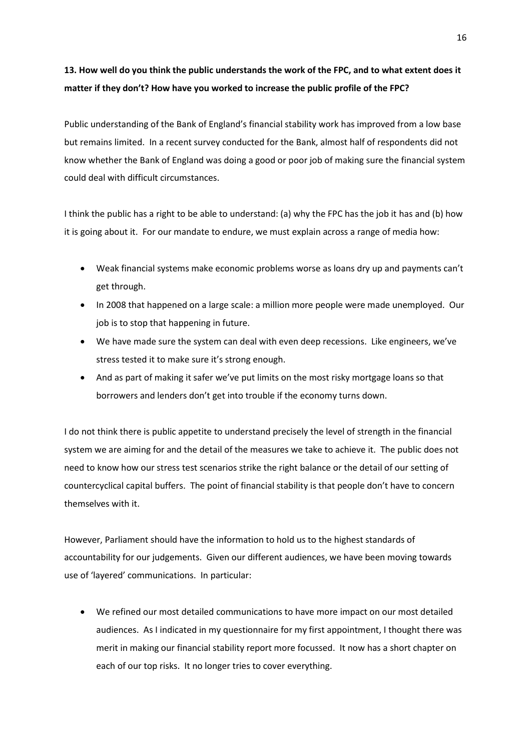# **13. How well do you think the public understands the work of the FPC, and to what extent does it matter if they don't? How have you worked to increase the public profile of the FPC?**

Public understanding of the Bank of England's financial stability work has improved from a low base but remains limited. In a recent survey conducted for the Bank, almost half of respondents did not know whether the Bank of England was doing a good or poor job of making sure the financial system could deal with difficult circumstances.

I think the public has a right to be able to understand: (a) why the FPC has the job it has and (b) how it is going about it. For our mandate to endure, we must explain across a range of media how:

- Weak financial systems make economic problems worse as loans dry up and payments can't get through.
- In 2008 that happened on a large scale: a million more people were made unemployed. Our job is to stop that happening in future.
- We have made sure the system can deal with even deep recessions. Like engineers, we've stress tested it to make sure it's strong enough.
- And as part of making it safer we've put limits on the most risky mortgage loans so that borrowers and lenders don't get into trouble if the economy turns down.

I do not think there is public appetite to understand precisely the level of strength in the financial system we are aiming for and the detail of the measures we take to achieve it. The public does not need to know how our stress test scenarios strike the right balance or the detail of our setting of countercyclical capital buffers. The point of financial stability is that people don't have to concern themselves with it.

However, Parliament should have the information to hold us to the highest standards of accountability for our judgements. Given our different audiences, we have been moving towards use of 'layered' communications. In particular:

 We refined our most detailed communications to have more impact on our most detailed audiences. As I indicated in my questionnaire for my first appointment, I thought there was merit in making our financial stability report more focussed. It now has a short chapter on each of our top risks. It no longer tries to cover everything.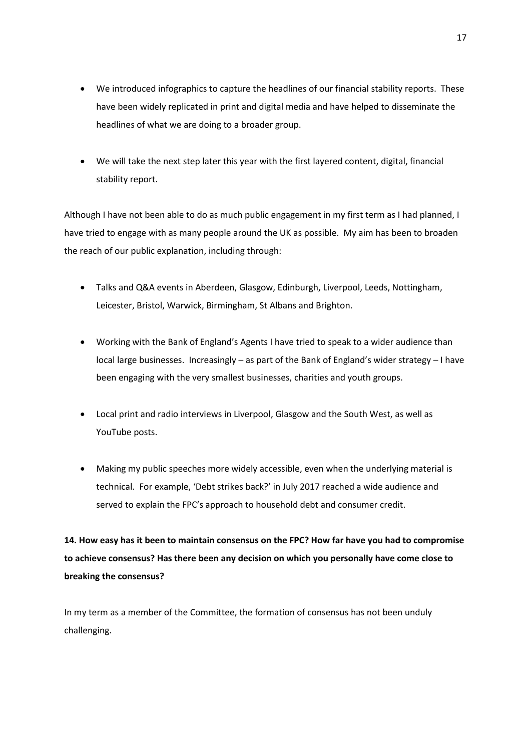- We introduced infographics to capture the headlines of our financial stability reports. These have been widely replicated in print and digital media and have helped to disseminate the headlines of what we are doing to a broader group.
- We will take the next step later this year with the first layered content, digital, financial stability report.

Although I have not been able to do as much public engagement in my first term as I had planned, I have tried to engage with as many people around the UK as possible. My aim has been to broaden the reach of our public explanation, including through:

- Talks and Q&A events in Aberdeen, Glasgow, Edinburgh, Liverpool, Leeds, Nottingham, Leicester, Bristol, Warwick, Birmingham, St Albans and Brighton.
- Working with the Bank of England's Agents I have tried to speak to a wider audience than local large businesses. Increasingly – as part of the Bank of England's wider strategy – I have been engaging with the very smallest businesses, charities and youth groups.
- Local print and radio interviews in Liverpool, Glasgow and the South West, as well as YouTube posts.
- Making my public speeches more widely accessible, even when the underlying material is technical. For example, 'Debt strikes back?' in July 2017 reached a wide audience and served to explain the FPC's approach to household debt and consumer credit.

**14. How easy has it been to maintain consensus on the FPC? How far have you had to compromise to achieve consensus? Has there been any decision on which you personally have come close to breaking the consensus?**

In my term as a member of the Committee, the formation of consensus has not been unduly challenging.